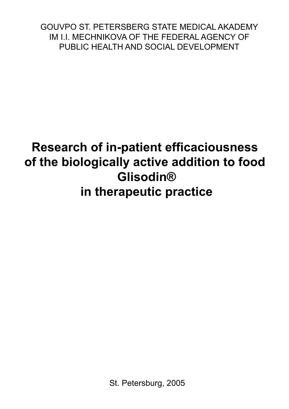GOUVPO ST. PETERSBERG STATE MEDICAL AKADEMY IM IT MECHNIKOVA OF THE FEDERAL AGENCY OF PUBLIC HEALTH AND SOCIAL DEVELOPMENT PUBLIC HEALTH AND SOCIAL DEVELOPMENT

# **Research of in-patient efficaciousness of the biologically active addition to food Glisodin® in therapeutic practice**

St. Petersburg, 2005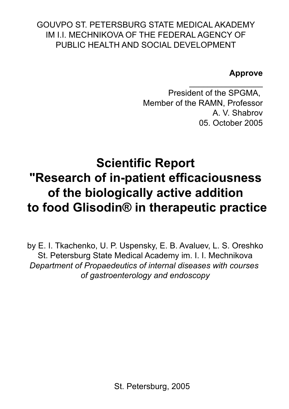# GOUVPO ST. PETERSBURG STATE MEDICAL AKADEMY IM I.I. MECHNIKOVA OF THE FEDERAL AGENCY OF PUBLIC HEALTH AND SOCIAL DEVELOPMENT

# **Approve**

\_\_\_\_\_\_\_\_\_\_\_\_\_\_\_\_ President of the SPGMA, Member of the RAMN, Professor A. V. Shabrov 05. October 2005

# **Scientific Report "Research of in-patient efficaciousness of the biologically active addition to food Glisodin® in therapeutic practice**

by E. I. Tkachenko, U. P. Uspensky, E. B. Avaluev, L. S. Oreshko St. Petersburg State Medical Academy im. I. I. Mechnikova *Department of Propaedeutics of internal diseases with courses of gastroenterology and endoscopy*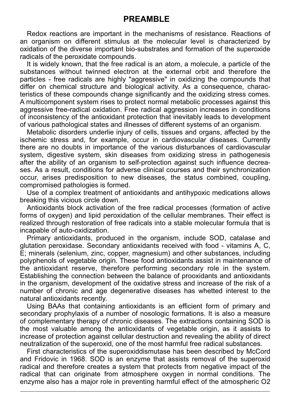Redox reactions are important in the mechanisms of resistance. Reactions of an organism on different stimulus at the molecular level is characterized by oxidation of the diverse important bio-substrates and formation of the superoxide radicals of the peroxidate compounds.

It is widely known, that the free radical is an atom, a molecule, a particle of the substances without twinned electron at the external orbit and therefore the particles - free radicals are highly "aggressive" in oxidizing the compounds that differ on chemical structure and biological activity. As a consequence, characteristics of these compounds change significantly and the oxidizing stress comes. A multicomponent system rises to protect normal metabolic processes against this aggressive free-radical oxidation. Free radical aggression increases in conditions of inconsistency of the antioxidant protection that inevitably leads to development of various pathological states and illnesses of different systems of an organism.

Metabolic disorders underlie injury of cells, tissues and organs, affected by the ischemic stress and, for example, occur in cardiovascular diseases. Currently there are no doubts in importance of the various disturbances of cardiovascular system, digestive system, skin diseases from oxidizing stress in pathogenesis after the ability of an organism to self-protection against such influence decreases. As a result, conditions for adverse clinical courses and their synchronization occur, arises predisposition to new diseases, the status combined, coupling, compromised pathologies is formed.

Use of a complex treatment of antioxidants and antihypoxic medications allows breaking this vicious circle down.

Antioxidants block activation of the free radical processes (formation of active forms of oxygen) and lipid peroxidation of the cellular membranes. Their effect is realized through restoration of free radicals into a stable molecular formula that is incapable of auto-oxidization.

Primary antioxidants, produced in the organism, include SOD, catalase and glutation peroxidase. Secondary antioxidants received with food - vitamins А, С, Е; minerals (selenium, zinc, copper, magnesium) and other substances, including polyphenols of vegetable origin. These food antioxidants assist in maintenance of the antioxidant reserve, therefore performing secondary role in the system. Establishing the connection between the balance of prooxidants and antioxidants in the organism, development of the oxidative stress and increase of the risk of a number of chronic and age degenerative diseases has whetted interest to the natural antioxidants recently.

Using BAAs that containing antioxidants is an efficient form of primary and secondary prophylaxis of a number of nosologic formations. It is also a measure of complementary therapy of chronic diseases. The extractions containing SOD is the most valuable among the antioxidants of vegetable origin, as it assists to increase of protection against cellular destruction and revealing the ability of direct neutralization of the superoxid, one of the most harmful free radical substances.

First characteristics of the superoxiddismutase has been described by McCord and Fridovic in 1968. SOD is an enzyme that assists removal of the superoxid radical and therefore creates a system that protects from negative impact of the radical that can originate from atmosphere oxygen in normal conditions. The enzyme also has a major role in preventing harmful effect of the atmospheric O2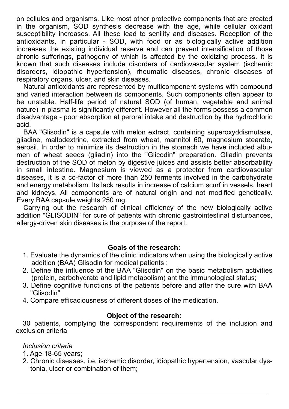on cellules and organisms. Like most other protective components that are created in the organism, SOD synthesis decrease with the age, while cellular oxidant susceptibility increases. All these lead to senility and diseases. Reception of the antioxidants, in particular - SOD, with food or as biologically active addition increases the existing individual reserve and can prevent intensification of those chronic sufferings, pathogeny of which is affected by the oxidizing process. It is known that such diseases include disorders of cardiovascular system (ischemic disorders, idiopathic hypertension), rheumatic diseases, chronic diseases of respiratory organs, ulcer, and skin diseases.

Natural antioxidants are represented by multicomponent systems with compound and varied interaction between its components. Such components often appear to be unstable. Half-life period of natural SOD (of human, vegetable and animal nature) in plasma is significantly different. However all the forms possess a common disadvantage - poor absorption at peroral intake and destruction by the hydrochloric acid.

BAA "Glisodin" is a capsule with melon extract, containing superoxyddismutase, gliadine, maltodextrine, extracted from wheat, mannitol 60, magnesium stearate, aerosil. In order to minimize its destruction in the stomach we have included albumen of wheat seeds (gliadin) into the "Glicodin" preparation. Gliadin prevents destruction of the SOD of melon by digestive juices and assists better absorbability in small intestine. Magnesium is viewed as a protector from cardiovascular diseases, it is a co-factor of more than 250 ferments involved in the carbohydrate and energy metabolism. Its lack results in increase of calcium scurf in vessels, heart and kidneys. All components are of natural origin and not modified genetically. Every BAA capsule weights 250 mg.

Carrying out the research of clinical efficiency of the new biologically active addition "GLISODIN" for cure of patients with chronic gastrointestinal disturbances, allergy-driven skin diseases is the purpose of the report.

#### **Goals of the research:**

- 1. Evaluate the dynamics of the clinic indicators when using the biologically active addition (BAA) Glisodin for medical patients ;
- 2. Define the influence of the BAA "Glisodin" on the basic metabolism activities (protein, carbohydrate and lipid metabolism) ant the immunological status;
- 3. Define cognitive functions of the patients before and after the cure with BAA "Glisodin"
- 4. Compare efficaciousness of different doses of the medication.

#### **Object of the research:**

30 patients, complying the correspondent requirements of the inclusion and exclusion criteria

#### *Inclusion criteria*

- 1. Age 18-65 years;
- 2. Chronic diseases, i.e. ischemic disorder, idiopathic hypertension, vascular dys tonia, ulcer or combination of them;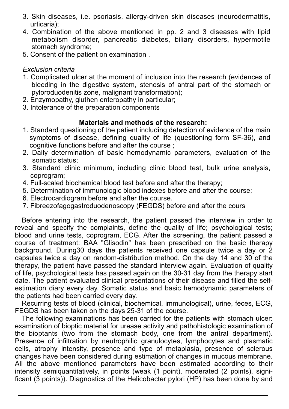- 3. Skin diseases, i.e. psoriasis, allergy-driven skin diseases (neurodermatitis, urticaria);
- 4. Combination of the above mentioned in pp. 2 and 3 diseases with lipid metabolism disorder, pancreatic diabetes, biliary disorders, hypermotile stomach syndrome;
- 5. Consent of the patient on examination .

#### *Exclusion criteria*

- 1. Complicated ulcer at the moment of inclusion into the research (evidences of bleeding in the digestive system, stenosis of antral part of the stomach or pyloroduodenitis zone, malignant transformation);
- 2. Enzymopathy, gluthen enteropathy in particular;
- 3. Intolerance of the preparation components

#### **Materials and methods of the research:**

- 1. Standard questioning of the patient including detection of evidence of the main symptoms of disease, defining quality of life (questioning form SF-36), and cognitive functions before and after the course :
- 2. Daily determination of basic hemodynamic parameters, evaluation of the somatic status;
- 3. Standard clinic minimum, including clinic blood test, bulk urine analysis, coprogram;
- 4. Full-scaled biochemical blood test before and after the therapy;
- 5. Determination of immunologic blood indexes before and after the course;
- 6. Electrocardiogram before and after the course.
- 7. Fibreezofagogastroduodenoscopy (FEGDS) before and after the cours

Before entering into the research, the patient passed the interview in order to reveal and specify the complaints, define the quality of life; psychological tests; blood and urine tests, coprogram, ECG. After the screening, the patient passed a course of treatment: BAA "Glisodin" has been prescribed on the basic therapy background. During30 days the patients received one capsule twice a day or 2 capsules twice a day on random-distribution method. On the day 14 and 30 of the therapy, the patient have passed the standard interview again. Evaluation of quality of life, psychological tests has passed again on the 30-31 day from the therapy start date. The patient evaluated clinical presentations of their disease and filled the selfestimation diary every day. Somatic status and basic hemodynamic parameters of the patients had been carried every day.

Recurring tests of blood (clinical, biochemical, immunological), urine, feces, ECG, FEGDS has been taken on the days 25-31 of the course.

The following examinations has been carried for the patients with stomach ulcer: examination of bioptic material for urease activity and pathohistologic examination of the bioptants (two from the stomach body, one from the antral department). Presence of infiltration by neutrophilic granulocytes, lymphocytes and plasmatic cells, atrophy intensity, presence and type of metaplasia, presence of sclerous changes have been considered during estimation of changes in mucous membrane. All the above mentioned parameters have been estimated according to their intensity semiquantitatively, in points (weak (1 point), moderated (2 points), significant (3 points)). Diagnostics of the Helicobacter pylori (HP) has been done by and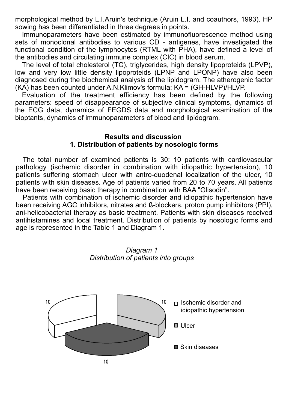morphological method by L.I.Aruin's technique (Aruin L.I. and coauthors, 1993). НР sowing has been differentiated in three degrees in points.

Immunoparameters have been estimated by immunofluorescence method using sets of monoclonal antibodies to various  $CD$  - antigenes, have investigated the functional condition of the lymphocytes (RTML with PHA), have defined a level of the antibodies and circulating immune complex (CIC) in blood serum.

The level of total cholesterol (TC), triglycerides, high density lipoproteids (LPVP), low and very low little density lipoproteids (LPNP and LPONP) have also been diagnosed during the biochemical analysis of the lipidogram. The atherogenic factor (KA) has been counted under A.N.Klimov's formula: KA = (GH-HLVP)/HLVP.

Evaluation of the treatment efficiency has been defined by the following parameters: speed of disappearance of subjective clinical symptoms, dynamics of the ECG data, dynamics of FEGDS data and morphological examination of the bioptants, dynamics of immunoparameters of blood and lipidogram.

#### **Results and discussion 1. Distribution of patients by nosologic forms**

The total number of examined patients is 30: 10 patients with cardiovascular pathology (ischemic disorder in combination with idiopathic hypertension), 10 patients suffering stomach ulcer with antro-duodenal localization of the ulcer, 10 patients with skin diseases. Age of patients varied from 20 to 70 years. All patients have been receiving basic therapy in combination with BAA "Glisodin".

Patients with combination of ischemic disorder and idiopathic hypertension have been receiving AGC inhibitors, nitrates and ß-blockers, proton pump inhibitors (PPI), ani-helicobacterial therapy as basic treatment. Patients with skin diseases received antihistamines and local treatment. Distribution of patients by nosologic forms and age is represented in the Table 1 and Diagram 1.



Diagram 1 **Distribution of patients into groups**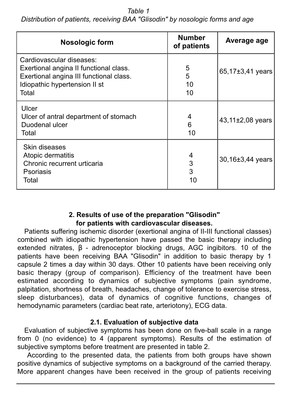*Table 1 Distribution of patients, receiving BAA "Glisodin" by nosologic forms and age* 

| Nosologic form                                                                                                                                          | <b>Number</b><br>of patients | Average age      |
|---------------------------------------------------------------------------------------------------------------------------------------------------------|------------------------------|------------------|
| Cardiovascular diseases:<br>Exertional angina II functional class.<br>Exertional angina III functional class.<br>Idiopathic hypertension II st<br>Total | 5<br>5<br>10<br>10           | 65,17±3,41 years |
| Ulcer<br>Ulcer of antral department of stomach<br>Duodenal ulcer<br>Total                                                                               | 4<br>6<br>10                 | 43,11±2,08 years |
| Skin diseases<br>Atopic dermatitis<br>Chronic recurrent urticaria<br>Psoriasis<br>Total                                                                 | 4<br>3<br>3<br>10            | 30,16±3,44 years |

### **2. Results of use of the preparation "Glisodin" for patients with cardiovascular diseases.**

Patients suffering ischemic disorder (exertional angina of II-III functional classes) combined with idiopathic hypertension have passed the basic therapy including extended nitrates,  $\beta$  - adrenoceptor blocking drugs, AGC ingibitors. 10 of the patients have been receiving BAA "Glisodin" in addition to basic therapy by 1 capsule 2 times a day within 30 days. Other 10 patients have been receiving only basic therapy (group of comparison). Efficiency of the treatment have been estimated according to dynamics of subjective symptoms (pain syndrome, palpitation, shortness of breath, headaches, change of tolerance to exercise stress, sleep disturbances), data of dynamics of cognitive functions, changes of hemodynamic parameters (cardiac beat rate, arteriotony), ECG data.

# **2.1. Evaluation of subjective data**

Evaluation of subjective symptoms has been done on five-ball scale in a range from 0 (no evidence) to 4 (apparent symptoms). Results of the estimation of subjective symptoms before treatment are presented in table 2.

 According to the presented data, the patients from both groups have shown positive dynamics of subjective symptoms on a background of the carried therapy. More apparent changes have been received in the group of patients receiving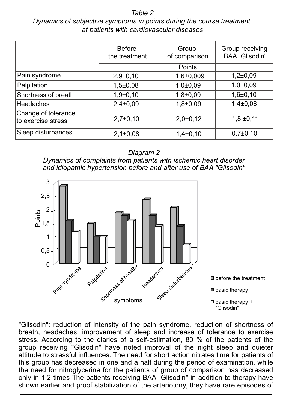*Table 2 Dynamics of subjective symptoms in points during the course treatment at patients with cardiovascular diseases*

|                                           | <b>Before</b><br>the treatment | Group<br>of comparison | Group receiving<br><b>BAA "Glisodin"</b> |
|-------------------------------------------|--------------------------------|------------------------|------------------------------------------|
|                                           |                                | Points                 |                                          |
| Pain syndrome                             | $2,9+0,10$                     | $1,6{\pm}0,009$        | $1,2{\pm}0,09$                           |
| Palpitation                               | $1,5 \pm 0,08$                 | $1,0{\pm}0,09$         | $1,0{\pm}0,09$                           |
| Shortness of breath                       | $1,9{\pm}0,10$                 | $1,8{\pm}0,09$         | $1,6{\pm}0,10$                           |
| Headaches                                 | $2,4\pm0,09$                   | $1,8{\pm}0,09$         | $1,4\pm0,08$                             |
| Change of tolerance<br>to exercise stress | $2,7\pm0,10$                   | 2,0±0,12               | $1,8 \pm 0,11$                           |
| Sleep disturbances                        | $2,1\pm0,08$                   | $1,4\pm0,10$           | $0,7{\pm}0,10$                           |

*Diagram 2* 

*Dynamics of complaints from patients with ischemic heart disorder and idiopathic hypertension before and after use of BAA "Glisodin"* 



"Glisodin": reduction of intensity of the pain syndrome, reduction of shortness of breath, headaches, improvement of sleep and increase of tolerance to exercise stress. According to the diaries of a self-estimation, 80 % of the patients of the group receiving "Glisodin" have noted improval of the night sleep and quieter attitude to stressful influences. The need for short action nitrates time for patients of this group has decreased in one and a half during the period of examination, while the need for nitroglycerine for the patients of group of comparison has decreased only in 1,2 times The patients receiving BAA "Glisodin" in addition to therapy have shown earlier and proof stabilization of the arteriotony, they have rare episodes of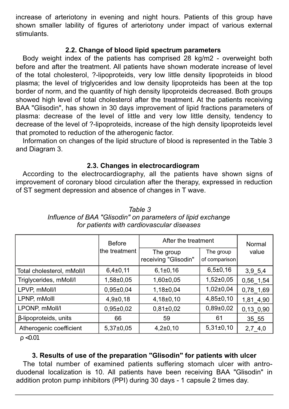increase of arteriotony in evening and night hours. Patients of this group have shown smaller lability of figures of arteriotony under impact of various external stimulants.

### **2.2. Change of blood lipid spectrum parameters**

Body weight index of the patients has comprised 28 kg/m2 - overweight both before and after the treatment. All patients have shown moderate increase of level of the total cholesterol, ?-lipoproteids, very low little density lipoproteids in blood plasma; the level of triglycerides and low density lipoproteids has been at the top border of norm, and the quantity of high density lipoproteids decreased. Both groups showed high level of total cholesterol after the treatment. At the patients receiving BAA "Glisodin", has shown in 30 days improvement of lipid fractions parameters of plasma: decrease of the level of little and very low little density, tendency to decrease of the level of ?-lipoproteids, increase of the high density lipoproteids level that promoted to reduction of the atherogenic factor.

Information on changes of the lipid structure of blood is represented in the Table 3 and Diagram 3.

# **2.3. Changes in electrocardiogram**

According to the electrocardiography, all the patients have shown signs of improvement of coronary blood circulation after the therapy, expressed in reduction of ST segment depression and absence of changes in T wave.

|                            | <b>Before</b>   | After the treatment               |                            | Normal     |
|----------------------------|-----------------|-----------------------------------|----------------------------|------------|
|                            | lthe treatment  | The group<br>receiving "Glisodin" | The group<br>of comparison | value      |
| Total cholesterol, mMoll/l | $6,4\pm0,11$    | $6,1\pm0,16$                      | $6,5\pm0,16$               | 3,9,5,4    |
| Triglycerides, mMoll/l     | 1,58±0,05       | $1,60 \pm 0.05$                   | $1,52\pm0,05$              | 0,56 1,54  |
| LPVP, mMoll/l              | $0.95 \pm 0.04$ | $1,18\pm0.04$                     | $1,02\pm0,04$              | 0,78 1,69  |
| LPNP, mMolll               | $4,9{\pm}0,18$  | $4,18\pm0,10$                     | $4,85 \pm 0,10$            | 1,81 4,90  |
| LPONP, mMoll/l             | $0,95 \pm 0,02$ | $0.81 \pm 0.02$                   | $0,89{\pm}0,02$            | 0,13 0,90  |
| β-lipoproteids, units      | 66              | 59                                | 61                         | 35 55      |
| Atherogenic coefficient    | $5,37\pm0.05$   | $4,2{\pm}0,10$                    | $5,31\pm0,10$              | $2,7\_4,0$ |

*Table 3 Influence of BAA "Glisodin" on parameters of lipid exchange for patients with cardiovascular diseases* 

 $ρ < 0.01$ 

# **3. Results of use of the preparation "Glisodin" for patients with ulcer**

The total number of examined patients suffering stomach ulcer with antroduodenal localization is 10. All patients have been receiving BAA "Glisodin" in addition proton pump inhibitors (PPI) during 30 days - 1 capsule 2 times day.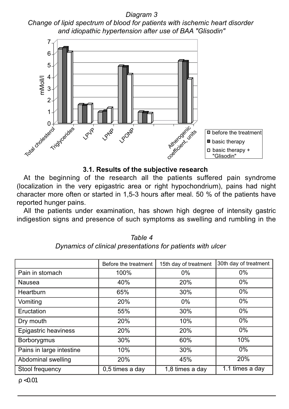*Diagram 3 Change of lipid spectrum of blood for patients with ischemic heart disorder and idiopathic hypertension after use of BAA "Glisodin"*



### **3.1. Results of the subjective research**

At the beginning of the research all the patients suffered pain syndrome (localization in the very epigastric area or right hypochondrium), pains had night character more often or started in 1,5-3 hours after meal. 50 % of the patients have reported hunger pains.

All the patients under examination, has shown high degree of intensity gastric indigestion signs and presence of such symptoms as swelling and rumbling in the

|                          | Before the treatment | 15th day of treatment | 30th day of treatment |
|--------------------------|----------------------|-----------------------|-----------------------|
| Pain in stomach          | 100%                 | $0\%$                 | $0\%$                 |
| Nausea                   | 40%                  | 20%                   | $0\%$                 |
| Heartburn                | 65%                  | 30%                   | $0\%$                 |
| Vomiting                 | 20%                  | $0\%$                 | $0\%$                 |
| Eructation               | 55%                  | 30%                   | $0\%$                 |
| Dry mouth                | 20%                  | 10%                   | $0\%$                 |
| Epigastric heaviness     | 20%                  | 20%                   | $0\%$                 |
| Borborygmus              | 30%                  | 60%                   | 10%                   |
| Pains in large intestine | 10%                  | 30%                   | $0\%$                 |
| Abdominal swelling       | 20%                  | 45%                   | 20%                   |
| Stool frequency          | 0,5 times a day      | 1,8 times a day       | 1.1 times a day       |

*Table 4 Dynamics of clinical presentations for patients with ulcer* 

 $ρ < 0.01$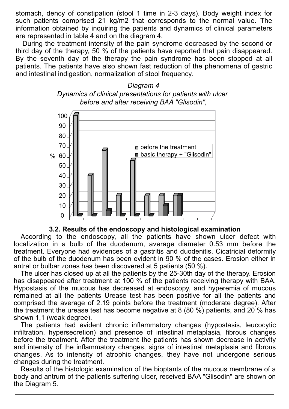stomach, dency of constipation (stool 1 time in 2-3 days). Body weight index for such patients comprised 21 kg/m2 that corresponds to the normal value. The information obtained by inquiring the patients and dynamics of clinical parameters are represented in table 4 and on the diagram 4.

During the treatment intensity of the pain syndrome decreased by the second or third day of the therapy, 50 % of the patients have reported that pain disappeared. By the seventh day of the therapy the pain syndrome has been stopped at all patients. The patients have also shown fast reduction of the phenomena of gastric and intestinal indigestion, normalization of stool frequency.





#### **3.2. Results of the endoscopy and histological examination**

According to the endoscopy, all the patients have shown ulcer defect with localization in a bulb of the duodenum, average diameter 0.53 mm before the treatment. Everyone had evidences of a gastritis and duodenitis. Cicatricial deformity of the bulb of the duodenum has been evident in 90 % of the cases. Erosion either in antral or bulbar zones has been discovered at 5 patients (50 %).

The ulcer has closed up at all the patients by the 25-30th day of the therapy. Erosion has disappeared after treatment at 100 % of the patients receiving therapy with BAA. Hypostasis of the mucous has decreased at endoscopy, and hyperemia of mucous remained at all the patients Urease test has been positive for all the patients and comprised the average of 2.19 points before the treatment (moderate degree). After the treatment the urease test has become negative at 8 (80 %) patients, and 20 % has shown 1,1 (weak degree).

The patients had evident chronic inflammatory changes (hypostasis, leucocytic infiltration, hypersecretion) and presence of intestinal metaplasia, fibrous changes before the treatment. After the treatment the patients has shown decrease in activity and intensity of the inflammatory changes, signs of intestinal metaplasia and fibrous changes. As to intensity of atrophic changes, they have not undergone serious changes during the treatment.

Results of the histologic examination of the bioptants of the mucous membrane of a body and antrum of the patients suffering ulcer, received BAA "Glisodin" are shown on the Diagram 5.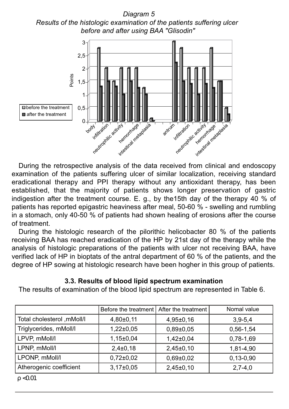*Diagram 5 Results of the histologic examination of the patients suffering ulcer before and after using BAA "Glisodin"*



During the retrospective analysis of the data received from clinical and endoscopy examination of the patients suffering ulcer of similar localization, receiving standard eradicational therapy and PPI therapy without any antioxidant therapy, has been established, that the majority of patients shows longer preservation of gastric indigestion after the treatment course. E. g., by the15th day of the therapy 40 % of patients has reported epigastric heaviness after meal, 50-60 % - swelling and rumbling in a stomach, only 40-50 % of patients had shown healing of erosions after the course of treatment.

During the histologic research of the pilorithic helicobacter 80 % of the patients receiving BAA has reached eradication of the НР by 21st day of the therapy while the analysis of histologic preparations of the patients with ulcer not receiving BAA, have verified lack of НР in bioptats of the antral department of 60 % of the patients, and the degree of НР sowing at histologic research have been hogher in this group of patients.

# **3.3. Results of blood lipid spectrum examination**

The results of examination of the blood lipid spectrum are represented in Table 6.

|                            | Before the treatment   After the treatment |                 | Nomal value |
|----------------------------|--------------------------------------------|-----------------|-------------|
| Total cholesterol ,mMoll/I | $4,80\pm0,11$                              | $4,95\pm0,16$   | $3,9-5,4$   |
| Triglycerides, mMoll/l     | $1.22 \pm 0.05$                            | $0.89 \pm 0.05$ | $0,56-1,54$ |
| LPVP, mMoll/l              | $1.15 \pm 0.04$                            | $1.42 \pm 0.04$ | 0,78-1,69   |
| LPNP, mMoll/l              | $2.4 \pm 0.18$                             | $2,45\pm0,10$   | 1,81-4,90   |
| LPONP, mMoll/l             | $0.72 \pm 0.02$                            | $0.69 \pm 0.02$ | $0,13-0,90$ |
| Atherogenic coefficient    | $3.17 \pm 0.05$                            | $2,45\pm0,10$   | $2,7-4,0$   |

 $ρ < 0.01$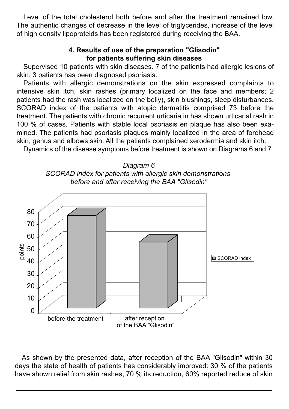Level of the total cholesterol both before and after the treatment remained low. The authentic changes of decrease in the level of triglycerides, increase of the level of high density lipoproteids has been registered during receiving the BAA.

#### **4. Results of use of the preparation "Glisodin" for patients suffering skin diseases**

Supervised 10 patients with skin diseases. 7 of the patients had allergic lesions of skin. 3 patients has been diagnosed psoriasis.

Patients with allergic demonstrations on the skin expressed complaints to intensive skin itch, skin rashes (primary localized on the face and members; 2 patients had the rash was localized on the belly), skin blushings, sleep disturbances. SCORAD index of the patients with atopic dermatitis comprised 73 before the treatment. The patients with chronic recurrent urticaria in has shown urticarial rash in 100 % of cases. Patients with stable local psoriasis en plaque has also been examined. The patients had psoriasis plaques mainly localized in the area of forehead skin, genus and elbows skin. All the patients complained xerodermia and skin itch.

Dynamics of the disease symptoms before treatment is shown on Diagrams 6 and 7





As shown by the presented data, after reception of the BAA "Glisodin" within 30 days the state of health of patients has considerably improved: 30 % of the patients have shown relief from skin rashes, 70 % its reduction, 60% reported reduce of skin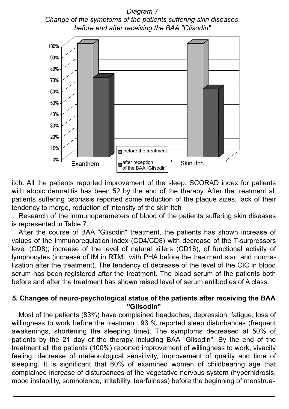*Diagram 7 Change of the symptoms of the patients suffering skin diseases before and after receiving the BAA "Glisodin"*



itch. All the patients reported improvement of the sleep. SCORAD index for patients with atopic dermatitis has been 52 by the end of the therapy. After the treatment all patients suffering psoriasis reported some reduction of the plaque sizes, lack of their tendency to merge, reduction of intensity of the skin itch

Research of the immunoparameters of blood of the patients suffering skin diseases is represented in Table 7.

After the course of BAA "Glisodin" treatment, the patients has shown increase of values of the immunoregulation index (CD4/CD8) with decrease of the T-surpressors level (CD8); increase of the level of natural killers (CD16), of functional activity of lymphocytes (increase of IM in RTML with PHA before the treatment start and normalization after the treatment). The tendency of decrease of the level of the CIC in blood serum has been registered after the treatment. The blood serum of the patients both before and after the treatment has shown raised level of serum antibodies of A class.

#### **5. Changes of neuro-psychological status of the patients after receiving the BAA "Glisodin"**

Most of the patients (83%) have complained headaches, depression, fatigue, loss of willingness to work before the treatment. 93 % reported sleep disturbances (frequent awakenings, shortening the sleeping time). The symptoms decreased at 50% of patients by the 21 day of the therapy including BAA "Glisodin". By the end of the treatment all the patients (100%) reported improvement of willingness to work, vivacity feeling, decrease of meteorological sensitivity, improvement of quality and time of sleeping. It is significant that 60% of examined women of childbearing age that complained increase of disturbances of the vegetative nervous system (hyperhidrosis, mood instability, somnolence, irritability, tearfulness) before the beginning of menstrua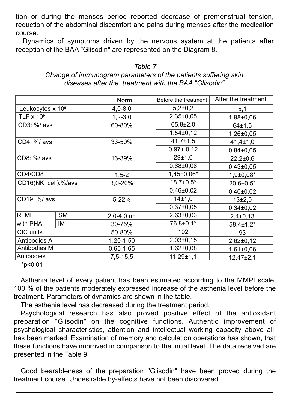tion or during the menses period reported decrease of premenstrual tension, reduction of the abdominal discomfort and pains during menses after the medication course.

Dynamics of symptoms driven by the nervous system at the patients after reception of the BAA "Glisodin" are represented on the Diagram 8.

|                              |           | Norm        | Before the treatment | After the treatment |
|------------------------------|-----------|-------------|----------------------|---------------------|
| Leukocytes x 10 <sup>9</sup> |           | $4,0 - 8,0$ | $5,2{\pm}0,2$        | 5,1                 |
| TLF $\times$ 10 <sup>9</sup> |           | $1,2-3,0$   | $2,35\pm0.05$        | $1,98 \pm 0,06$     |
| CD3: %/ avs                  |           | 60-80%      | $65,8{\pm}2,0$       | 64±1.5              |
|                              |           |             | $1,54\pm0,12$        | $1,26 \pm 0.05$     |
| CD4: %/ avs                  |           | 33-50%      | $41,7 \pm 1,5$       | $41,4 \pm 1,0$      |
|                              |           |             | $0,97 \pm 0,12$      | $0.84 \pm 0.05$     |
| CD8: %/ avs                  |           | 16-39%      | 29±1.0               | $22,2 \pm 0.6$      |
|                              |           |             | $0.68 \pm 0.06$      | $0.43 \pm 0.05$     |
| CD4\CD8                      |           | $1,5-2$     | 1,45±0,06*           | $1,9{\pm}0,08*$     |
| CD16(NK_cell):%/avs          |           | 3,0-20%     | $18,7{\pm}0.5*$      | $20.6 \pm 0.5^*$    |
|                              |           |             | $0,46 \pm 0,02$      | $0.40 \pm 0.02$     |
| CD19: %/ avs                 |           | $5 - 22%$   | 14±1,0               | $13+2,0$            |
|                              |           |             | $0.37 \pm 0.05$      | $0.34 \pm 0.02$     |
| <b>RTML</b>                  | <b>SM</b> | 2,0-4,0 un  | $2,63\pm0.03$        | $2,4\pm0,13$        |
| with PHA                     | ΙM        | 30-75%      | 76,8±0,1*            | $58,4\pm1,2^*$      |
| CIC units                    |           | 50-80%      | 102                  | 93                  |
| Antibodies A                 |           | 1,20-1,50   | $2,03\pm0,15$        | $2,62\pm0,12$       |
| Antibodies M                 |           | $0,65-1,65$ | $1,62\pm0.08$        | $1,61\pm0.06$       |
| Antibodies                   |           | 7,5-15,5    | $11,29 \pm 1,1$      | 12.47±2.1           |

| Table 7                                                        |
|----------------------------------------------------------------|
| Change of immunogram parameters of the patients suffering skin |
| diseases after the treatment with the BAA "Glisodin"           |

 $*_{p<0,01}$ 

Asthenia level of every patient has been estimated according to the MMPI scale. 100 % of the patients moderately expressed increase of the asthenia level before the treatment. Parameters of dynamics are shown in the table.

The asthenia level has decreased during the treatment period.

Psychological research has also proved positive effect of the antioxidant preparation "Glisodin" on the cognitive functions. Authentic improvement of psychological characteristics, attention and intellectual working capacity above all, has been marked. Examination of memory and calculation operations has shown, that these functions have improved in comparison to the initial level. The data received are presented in the Table 9.

Good bearableness of the preparation "Glisodin" have been proved during the treatment course. Undesirable by-effects have not been discovered.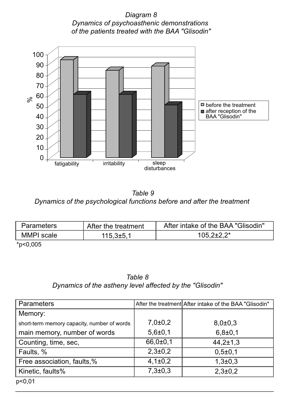*Diagram 8 Dynamics of psychoasthenic demonstrations of the patients treated with the BAA "Glisodin"*



*Table 9 Dynamics of the psychological functions before and after the treatment* 

| Parameters        | After the treatment | After intake of the BAA "Glisodin" |
|-------------------|---------------------|------------------------------------|
| <b>MMPI</b> scale | $115.3 \pm 5.7$     | $105.2 \pm 2.2^*$                  |
| .                 |                     |                                    |

\*р<0,005

*Table 8 Dynamics of the astheny level affected by the "Glisodin"*

| Parameters                                  |                | After the treatment After intake of the BAA "Glisodin" |
|---------------------------------------------|----------------|--------------------------------------------------------|
| Memory:                                     |                |                                                        |
| short-term memory capacity, number of words | $7,0{\pm}0,2$  | $8,0{\pm}0,3$                                          |
| main memory, number of words                | $5,6{\pm}0,1$  | $6,8{\pm}0,1$                                          |
| Counting, time, sec,                        | $66,0{\pm}0,1$ | $44,2{\pm}1,3$                                         |
| Faults, %                                   | $2,3 \pm 0,2$  | $0,5\pm0,1$                                            |
| Free association, faults,%                  | $4,1\pm0,2$    | $1,3{\pm}0,3$                                          |
| Kinetic, faults%                            | $7,3{\pm}0,3$  | $2,3 \pm 0,2$                                          |
| p<0,01                                      |                |                                                        |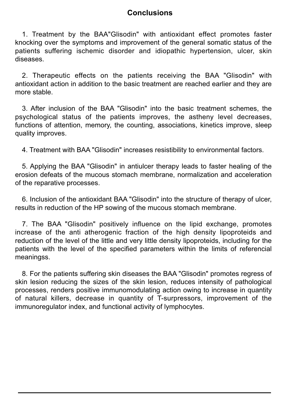# **Conclusions**

1. Treatment by the BAA"Glisodin" with antioxidant effect promotes faster knocking over the symptoms and improvement of the general somatic status of the patients suffering ischemic disorder and idiopathic hypertension, ulcer, skin .<br>diseases

2. Therapeutic effects on the patients receiving the BAA "Glisodin" with antioxidant action in addition to the basic treatment are reached earlier and they are more stable.

3. After inclusion of the BAA "Glisodin" into the basic treatment schemes, the psychological status of the patients improves, the astheny level decreases, functions of attention, memory, the counting, associations, kinetics improve, sleep quality improves.

4. Treatment with BAA "Glisodin" increases resistibility to environmental factors.

5. Applying the BAA "Glisodin" in antiulcer therapy leads to faster healing of the erosion defeats of the mucous stomach membrane, normalization and acceleration of the reparative processes.

6. Inclusion of the antioxidant BAA "Glisodin" into the structure of therapy of ulcer, results in reduction of the HP sowing of the mucous stomach membrane.

7. The BAA "Glisodin" positively influence on the lipid exchange, promotes increase of the anti atherogenic fraction of the high density lipoproteids and reduction of the level of the little and very little density lipoproteids, including for the patients with the level of the specified parameters within the limits of referencial meaningss.

8. For the patients suffering skin diseases the BAA "Glisodin" promotes regress of skin lesion reducing the sizes of the skin lesion, reduces intensity of pathological processes, renders positive immunomodulating action owing to increase in quantity of natural killers, decrease in quantity of T-surpressors, improvement of the immunoregulator index, and functional activity of lymphocytes.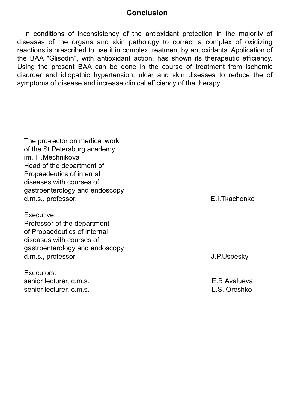# **Conclusion**

In conditions of inconsistency of the antioxidant protection in the majority of diseases of the organs and skin pathology to correct a complex of oxidizing reactions is prescribed to use it in complex treatment by antioxidants. Application of the BAA "Glisodin", with antioxidant action, has shown its therapeutic efficiency. Using the present BAA can be done in the course of treatment from ischemic disorder and idiopathic hypertension, ulcer and skin diseases to reduce the of symptoms of disease and increase clinical efficiency of the therapy.

The pro-rector on medical work of the St.Petersburg academy im. I.I.Mechnikova Head of the department of Propaedeutics of internal diseases with courses of gastroenterology and endoscopy d.m.s., professor, E.I.Tkachenko

Executive: Professor of the department of Propaedeutics of internal diseases with courses of gastroenterology and endoscopy d.m.s., professor **J.P.Uspesky** 

Executors: senior lecturer, c.m.s. E.B.Avalueva senior lecturer, c.m.s. Community Community Community Community Community Community Community Community Community